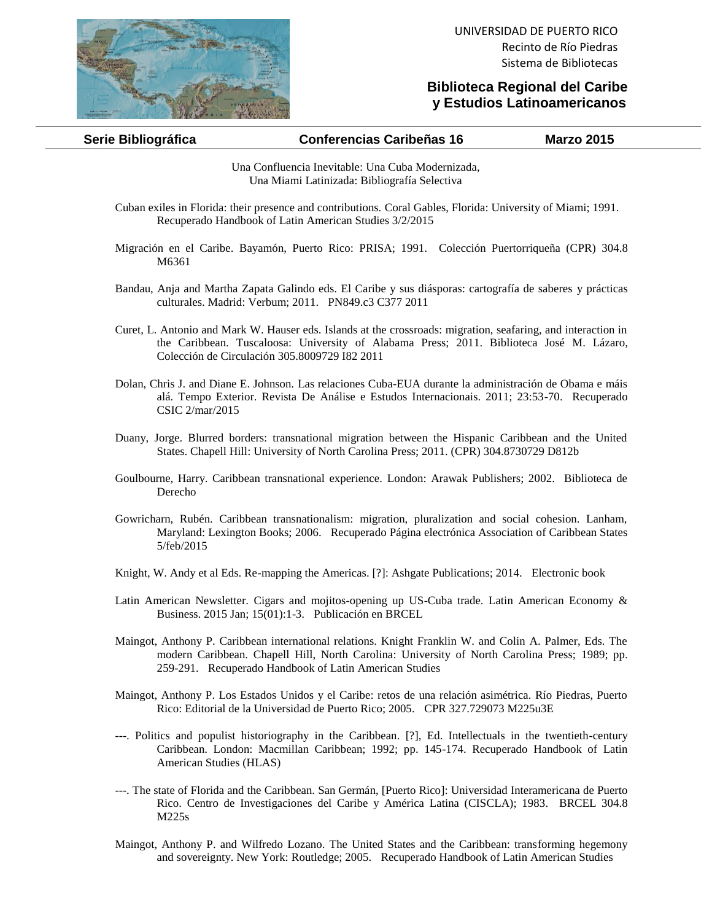

## **Biblioteca Regional del Caribe y Estudios Latinoamericanos**

| Serie Bibliográfica | <b>Conferencias Caribeñas 16</b> | <b>Marzo 2015</b> |
|---------------------|----------------------------------|-------------------|
|                     |                                  |                   |

Una Confluencia Inevitable: Una Cuba Modernizada, Una Miami Latinizada: Bibliografía Selectiva

- Cuban exiles in Florida: their presence and contributions. Coral Gables, Florida: University of Miami; 1991. Recuperado Handbook of Latin American Studies 3/2/2015
- Migración en el Caribe. Bayamón, Puerto Rico: PRISA; 1991. Colección Puertorriqueña (CPR) 304.8 M6361
- Bandau, Anja and Martha Zapata Galindo eds. El Caribe y sus diásporas: cartografía de saberes y prácticas culturales. Madrid: Verbum; 2011. PN849.c3 C377 2011
- Curet, L. Antonio and Mark W. Hauser eds. Islands at the crossroads: migration, seafaring, and interaction in the Caribbean. Tuscaloosa: University of Alabama Press; 2011. Biblioteca José M. Lázaro, Colección de Circulación 305.8009729 I82 2011
- Dolan, Chris J. and Diane E. Johnson. Las relaciones Cuba-EUA durante la administración de Obama e máis alá. Tempo Exterior. Revista De Análise e Estudos Internacionais. 2011; 23:53-70. Recuperado CSIC 2/mar/2015
- Duany, Jorge. Blurred borders: transnational migration between the Hispanic Caribbean and the United States. Chapell Hill: University of North Carolina Press; 2011. (CPR) 304.8730729 D812b
- Goulbourne, Harry. Caribbean transnational experience. London: Arawak Publishers; 2002. Biblioteca de Derecho
- Gowricharn, Rubén. Caribbean transnationalism: migration, pluralization and social cohesion. Lanham, Maryland: Lexington Books; 2006. Recuperado Página electrónica Association of Caribbean States 5/feb/2015
- Knight, W. Andy et al Eds. Re-mapping the Americas. [?]: Ashgate Publications; 2014. Electronic book
- Latin American Newsletter. Cigars and mojitos-opening up US-Cuba trade. Latin American Economy & Business. 2015 Jan; 15(01):1-3. Publicación en BRCEL
- Maingot, Anthony P. Caribbean international relations. Knight Franklin W. and Colin A. Palmer, Eds. The modern Caribbean. Chapell Hill, North Carolina: University of North Carolina Press; 1989; pp. 259-291. Recuperado Handbook of Latin American Studies
- Maingot, Anthony P. Los Estados Unidos y el Caribe: retos de una relación asimétrica. Río Piedras, Puerto Rico: Editorial de la Universidad de Puerto Rico; 2005. CPR 327.729073 M225u3E
- ---. Politics and populist historiography in the Caribbean. [?], Ed. Intellectuals in the twentieth-century Caribbean. London: Macmillan Caribbean; 1992; pp. 145-174. Recuperado Handbook of Latin American Studies (HLAS)
- ---. The state of Florida and the Caribbean. San Germán, [Puerto Rico]: Universidad Interamericana de Puerto Rico. Centro de Investigaciones del Caribe y América Latina (CISCLA); 1983. BRCEL 304.8 M225s
- Maingot, Anthony P. and Wilfredo Lozano. The United States and the Caribbean: transforming hegemony and sovereignty. New York: Routledge; 2005. Recuperado Handbook of Latin American Studies